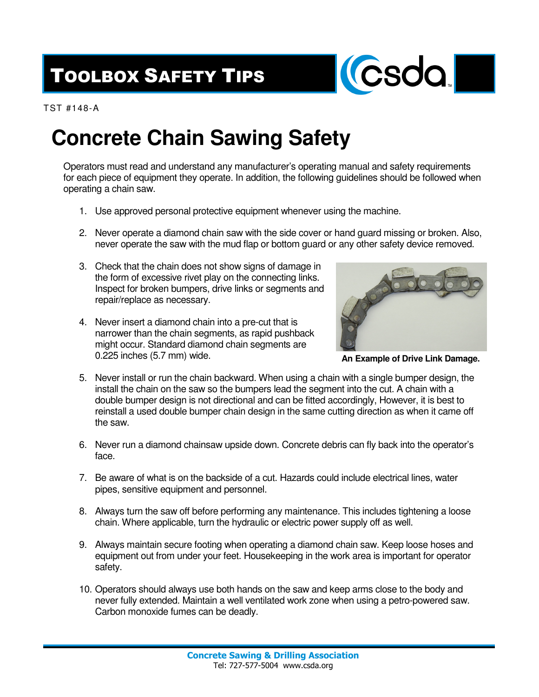## TOOLBOX SAFETY TIPS



TST #148-A

## **Concrete Chain Sawing Safety**

Operators must read and understand any manufacturer's operating manual and safety requirements for each piece of equipment they operate. In addition, the following guidelines should be followed when operating a chain saw.

- 1. Use approved personal protective equipment whenever using the machine.
- 2. Never operate a diamond chain saw with the side cover or hand guard missing or broken. Also, never operate the saw with the mud flap or bottom guard or any other safety device removed.
- 3. Check that the chain does not show signs of damage in the form of excessive rivet play on the connecting links. Inspect for broken bumpers, drive links or segments and repair/replace as necessary.
- 4. Never insert a diamond chain into a pre-cut that is narrower than the chain segments, as rapid pushback might occur. Standard diamond chain segments are 0.225 inches (5.7 mm) wide.



**An Example of Drive Link Damage.**

- 5. Never install or run the chain backward. When using a chain with a single bumper design, the install the chain on the saw so the bumpers lead the segment into the cut. A chain with a double bumper design is not directional and can be fitted accordingly, However, it is best to reinstall a used double bumper chain design in the same cutting direction as when it came off the saw.
- 6. Never run a diamond chainsaw upside down. Concrete debris can fly back into the operator's face.
- 7. Be aware of what is on the backside of a cut. Hazards could include electrical lines, water pipes, sensitive equipment and personnel.
- 8. Always turn the saw off before performing any maintenance. This includes tightening a loose chain. Where applicable, turn the hydraulic or electric power supply off as well.
- 9. Always maintain secure footing when operating a diamond chain saw. Keep loose hoses and equipment out from under your feet. Housekeeping in the work area is important for operator safety.
- 10. Operators should always use both hands on the saw and keep arms close to the body and never fully extended. Maintain a well ventilated work zone when using a petro-powered saw. Carbon monoxide fumes can be deadly.